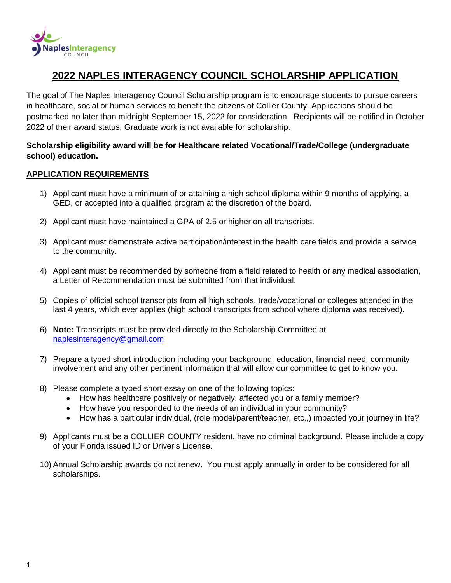

# **2022 NAPLES INTERAGENCY COUNCIL SCHOLARSHIP APPLICATION**

The goal of The Naples Interagency Council Scholarship program is to encourage students to pursue careers in healthcare, social or human services to benefit the citizens of Collier County. Applications should be postmarked no later than midnight September 15, 2022 for consideration. Recipients will be notified in October 2022 of their award status. Graduate work is not available for scholarship.

## **Scholarship eligibility award will be for Healthcare related Vocational/Trade/College (undergraduate school) education.**

#### **APPLICATION REQUIREMENTS**

- 1) Applicant must have a minimum of or attaining a high school diploma within 9 months of applying, a GED, or accepted into a qualified program at the discretion of the board.
- 2) Applicant must have maintained a GPA of 2.5 or higher on all transcripts.
- 3) Applicant must demonstrate active participation/interest in the health care fields and provide a service to the community.
- 4) Applicant must be recommended by someone from a field related to health or any medical association, a Letter of Recommendation must be submitted from that individual.
- 5) Copies of official school transcripts from all high schools, trade/vocational or colleges attended in the last 4 years, which ever applies (high school transcripts from school where diploma was received).
- 6) **Note:** Transcripts must be provided directly to the Scholarship Committee at [naplesinteragency@gmail.com](mailto:naplesinteragency@gmail.com)
- 7) Prepare a typed short introduction including your background, education, financial need, community involvement and any other pertinent information that will allow our committee to get to know you.
- 8) Please complete a typed short essay on one of the following topics:
	- How has healthcare positively or negatively, affected you or a family member?
	- How have you responded to the needs of an individual in your community?
	- How has a particular individual, (role model/parent/teacher, etc..) impacted your journey in life?
- 9) Applicants must be a COLLIER COUNTY resident, have no criminal background. Please include a copy of your Florida issued ID or Driver's License.
- 10) Annual Scholarship awards do not renew. You must apply annually in order to be considered for all scholarships.